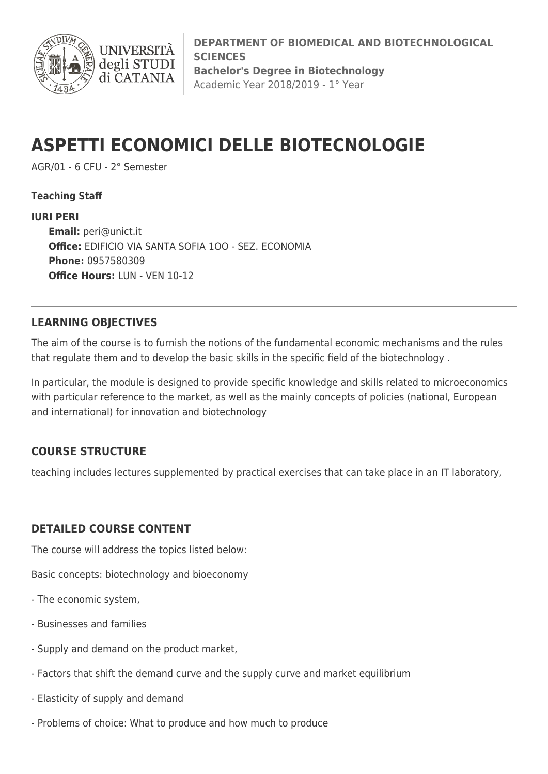

**DEPARTMENT OF BIOMEDICAL AND BIOTECHNOLOGICAL SCIENCES Bachelor's Degree in Biotechnology** Academic Year 2018/2019 - 1° Year

# **ASPETTI ECONOMICI DELLE BIOTECNOLOGIE**

AGR/01 - 6 CFU - 2° Semester

**UNIVERS** 

degli STUDI di CATANIA

**Teaching Staff**

#### **IURI PERI**

**Email:** [peri@unict.it](mailto:peri@unict.it) **Office:** EDIFICIO VIA SANTA SOFIA 1OO - SEZ. ECONOMIA **Phone:** 0957580309 **Office Hours:** LUN - VEN 10-12

### **LEARNING OBJECTIVES**

The aim of the course is to furnish the notions of the fundamental economic mechanisms and the rules that regulate them and to develop the basic skills in the specific field of the biotechnology .

In particular, the module is designed to provide specific knowledge and skills related to microeconomics with particular reference to the market, as well as the mainly concepts of policies (national, European and international) for innovation and biotechnology

## **COURSE STRUCTURE**

teaching includes lectures supplemented by practical exercises that can take place in an IT laboratory,

#### **DETAILED COURSE CONTENT**

The course will address the topics listed below:

Basic concepts: biotechnology and bioeconomy

- The economic system,
- Businesses and families
- Supply and demand on the product market,
- Factors that shift the demand curve and the supply curve and market equilibrium
- Elasticity of supply and demand
- Problems of choice: What to produce and how much to produce